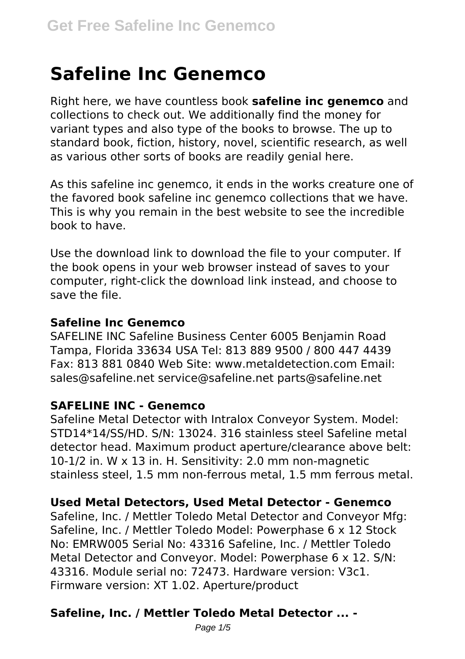# **Safeline Inc Genemco**

Right here, we have countless book **safeline inc genemco** and collections to check out. We additionally find the money for variant types and also type of the books to browse. The up to standard book, fiction, history, novel, scientific research, as well as various other sorts of books are readily genial here.

As this safeline inc genemco, it ends in the works creature one of the favored book safeline inc genemco collections that we have. This is why you remain in the best website to see the incredible book to have.

Use the download link to download the file to your computer. If the book opens in your web browser instead of saves to your computer, right-click the download link instead, and choose to save the file.

#### **Safeline Inc Genemco**

SAFELINE INC Safeline Business Center 6005 Benjamin Road Tampa, Florida 33634 USA Tel: 813 889 9500 / 800 447 4439 Fax: 813 881 0840 Web Site: www.metaldetection.com Email: sales@safeline.net service@safeline.net parts@safeline.net

#### **SAFELINE INC - Genemco**

Safeline Metal Detector with Intralox Conveyor System. Model: STD14\*14/SS/HD. S/N: 13024. 316 stainless steel Safeline metal detector head. Maximum product aperture/clearance above belt: 10-1/2 in. W x 13 in. H. Sensitivity: 2.0 mm non-magnetic stainless steel, 1.5 mm non-ferrous metal, 1.5 mm ferrous metal.

## **Used Metal Detectors, Used Metal Detector - Genemco**

Safeline, Inc. / Mettler Toledo Metal Detector and Conveyor Mfg: Safeline, Inc. / Mettler Toledo Model: Powerphase 6 x 12 Stock No: EMRW005 Serial No: 43316 Safeline, Inc. / Mettler Toledo Metal Detector and Conveyor. Model: Powerphase 6 x 12. S/N: 43316. Module serial no: 72473. Hardware version: V3c1. Firmware version: XT 1.02. Aperture/product

# **Safeline, Inc. / Mettler Toledo Metal Detector ... -**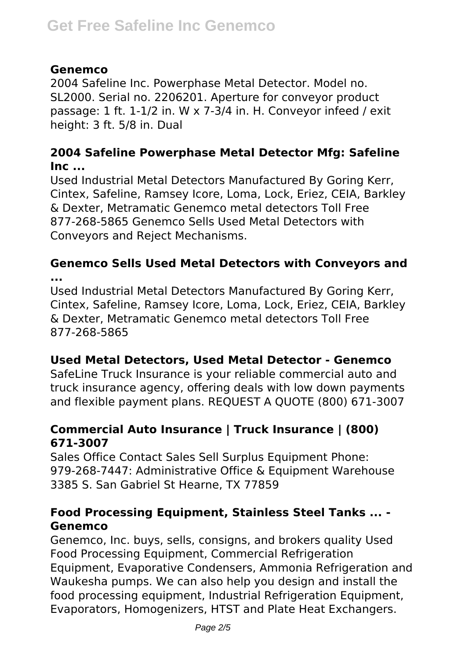## **Genemco**

2004 Safeline Inc. Powerphase Metal Detector. Model no. SL2000. Serial no. 2206201. Aperture for conveyor product passage: 1 ft. 1-1/2 in. W x 7-3/4 in. H. Conveyor infeed / exit height: 3 ft. 5/8 in. Dual

## **2004 Safeline Powerphase Metal Detector Mfg: Safeline Inc ...**

Used Industrial Metal Detectors Manufactured By Goring Kerr, Cintex, Safeline, Ramsey Icore, Loma, Lock, Eriez, CEIA, Barkley & Dexter, Metramatic Genemco metal detectors Toll Free 877-268-5865 Genemco Sells Used Metal Detectors with Conveyors and Reject Mechanisms.

## **Genemco Sells Used Metal Detectors with Conveyors and ...**

Used Industrial Metal Detectors Manufactured By Goring Kerr, Cintex, Safeline, Ramsey Icore, Loma, Lock, Eriez, CEIA, Barkley & Dexter, Metramatic Genemco metal detectors Toll Free 877-268-5865

## **Used Metal Detectors, Used Metal Detector - Genemco**

SafeLine Truck Insurance is your reliable commercial auto and truck insurance agency, offering deals with low down payments and flexible payment plans. REQUEST A QUOTE (800) 671-3007

## **Commercial Auto Insurance | Truck Insurance | (800) 671-3007**

Sales Office Contact Sales Sell Surplus Equipment Phone: 979-268-7447: Administrative Office & Equipment Warehouse 3385 S. San Gabriel St Hearne, TX 77859

## **Food Processing Equipment, Stainless Steel Tanks ... - Genemco**

Genemco, Inc. buys, sells, consigns, and brokers quality Used Food Processing Equipment, Commercial Refrigeration Equipment, Evaporative Condensers, Ammonia Refrigeration and Waukesha pumps. We can also help you design and install the food processing equipment, Industrial Refrigeration Equipment, Evaporators, Homogenizers, HTST and Plate Heat Exchangers.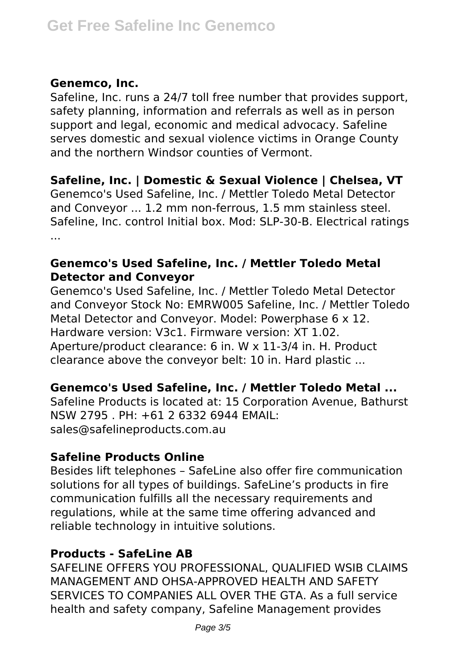## **Genemco, Inc.**

Safeline, Inc. runs a 24/7 toll free number that provides support, safety planning, information and referrals as well as in person support and legal, economic and medical advocacy. Safeline serves domestic and sexual violence victims in Orange County and the northern Windsor counties of Vermont.

## **Safeline, Inc. | Domestic & Sexual Violence | Chelsea, VT**

Genemco's Used Safeline, Inc. / Mettler Toledo Metal Detector and Conveyor ... 1.2 mm non-ferrous, 1.5 mm stainless steel. Safeline, Inc. control Initial box. Mod: SLP-30-B. Electrical ratings ...

## **Genemco's Used Safeline, Inc. / Mettler Toledo Metal Detector and Conveyor**

Genemco's Used Safeline, Inc. / Mettler Toledo Metal Detector and Conveyor Stock No: EMRW005 Safeline, Inc. / Mettler Toledo Metal Detector and Conveyor. Model: Powerphase 6 x 12. Hardware version: V3c1. Firmware version: XT 1.02. Aperture/product clearance: 6 in. W x 11-3/4 in. H. Product clearance above the conveyor belt: 10 in. Hard plastic ...

## **Genemco's Used Safeline, Inc. / Mettler Toledo Metal ...**

Safeline Products is located at: 15 Corporation Avenue, Bathurst NSW 2795 PH: +61 2 6332 6944 FMAIL: sales@safelineproducts.com.au

# **Safeline Products Online**

Besides lift telephones – SafeLine also offer fire communication solutions for all types of buildings. SafeLine's products in fire communication fulfills all the necessary requirements and regulations, while at the same time offering advanced and reliable technology in intuitive solutions.

## **Products - SafeLine AB**

SAFELINE OFFERS YOU PROFESSIONAL, QUALIFIED WSIB CLAIMS MANAGEMENT AND OHSA-APPROVED HEALTH AND SAFETY SERVICES TO COMPANIES ALL OVER THE GTA. As a full service health and safety company, Safeline Management provides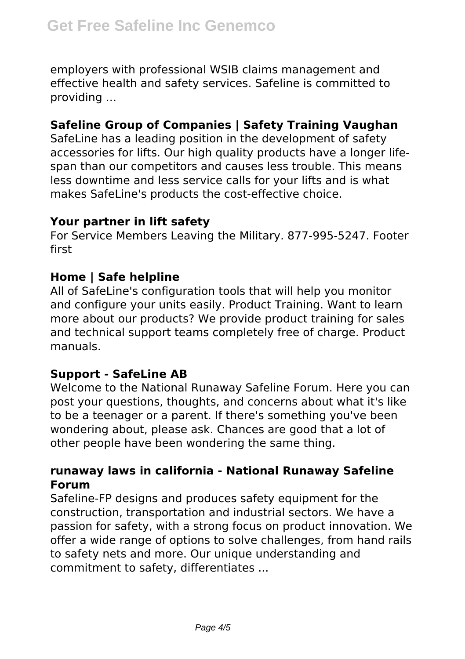employers with professional WSIB claims management and effective health and safety services. Safeline is committed to providing ...

## **Safeline Group of Companies | Safety Training Vaughan**

SafeLine has a leading position in the development of safety accessories for lifts. Our high quality products have a longer lifespan than our competitors and causes less trouble. This means less downtime and less service calls for your lifts and is what makes SafeLine's products the cost-effective choice.

## **Your partner in lift safety**

For Service Members Leaving the Military. 877-995-5247. Footer first

## **Home | Safe helpline**

All of SafeLine's configuration tools that will help you monitor and configure your units easily. Product Training. Want to learn more about our products? We provide product training for sales and technical support teams completely free of charge. Product manuals.

#### **Support - SafeLine AB**

Welcome to the National Runaway Safeline Forum. Here you can post your questions, thoughts, and concerns about what it's like to be a teenager or a parent. If there's something you've been wondering about, please ask. Chances are good that a lot of other people have been wondering the same thing.

## **runaway laws in california - National Runaway Safeline Forum**

Safeline-FP designs and produces safety equipment for the construction, transportation and industrial sectors. We have a passion for safety, with a strong focus on product innovation. We offer a wide range of options to solve challenges, from hand rails to safety nets and more. Our unique understanding and commitment to safety, differentiates ...